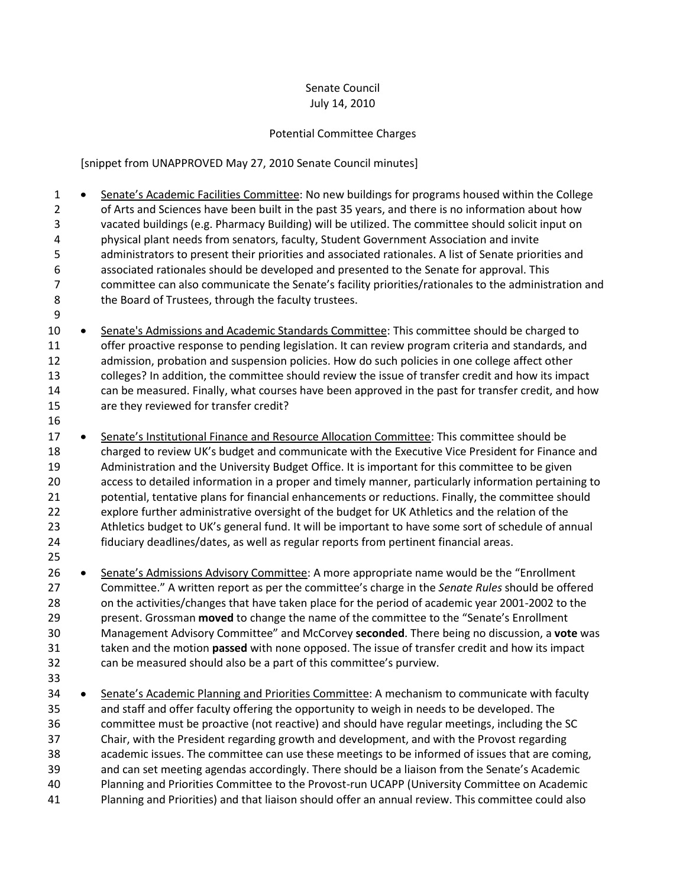## Senate Council July 14, 2010

## Potential Committee Charges

[snippet from UNAPPROVED May 27, 2010 Senate Council minutes]

1 • Senate's Academic Facilities Committee: No new buildings for programs housed within the College of Arts and Sciences have been built in the past 35 years, and there is no information about how vacated buildings (e.g. Pharmacy Building) will be utilized. The committee should solicit input on physical plant needs from senators, faculty, Student Government Association and invite administrators to present their priorities and associated rationales. A list of Senate priorities and associated rationales should be developed and presented to the Senate for approval. This committee can also communicate the Senate's facility priorities/rationales to the administration and 8 the Board of Trustees, through the faculty trustees.

- 10 . Senate's Admissions and Academic Standards Committee: This committee should be charged to offer proactive response to pending legislation. It can review program criteria and standards, and admission, probation and suspension policies. How do such policies in one college affect other colleges? In addition, the committee should review the issue of transfer credit and how its impact can be measured. Finally, what courses have been approved in the past for transfer credit, and how are they reviewed for transfer credit?
- 

17 • Senate's Institutional Finance and Resource Allocation Committee: This committee should be charged to review UK's budget and communicate with the Executive Vice President for Finance and Administration and the University Budget Office. It is important for this committee to be given access to detailed information in a proper and timely manner, particularly information pertaining to potential, tentative plans for financial enhancements or reductions. Finally, the committee should explore further administrative oversight of the budget for UK Athletics and the relation of the Athletics budget to UK's general fund. It will be important to have some sort of schedule of annual fiduciary deadlines/dates, as well as regular reports from pertinent financial areas. 

- 26 Senate's Admissions Advisory Committee: A more appropriate name would be the "Enrollment Committee." A written report as per the committee's charge in the *Senate Rules* should be offered 28 on the activities/changes that have taken place for the period of academic year 2001-2002 to the present. Grossman **moved** to change the name of the committee to the "Senate's Enrollment Management Advisory Committee" and McCorvey **seconded**. There being no discussion, a **vote** was taken and the motion **passed** with none opposed. The issue of transfer credit and how its impact can be measured should also be a part of this committee's purview.
- 

34 • Senate's Academic Planning and Priorities Committee: A mechanism to communicate with faculty and staff and offer faculty offering the opportunity to weigh in needs to be developed. The committee must be proactive (not reactive) and should have regular meetings, including the SC Chair, with the President regarding growth and development, and with the Provost regarding academic issues. The committee can use these meetings to be informed of issues that are coming, and can set meeting agendas accordingly. There should be a liaison from the Senate's Academic Planning and Priorities Committee to the Provost-run UCAPP (University Committee on Academic Planning and Priorities) and that liaison should offer an annual review. This committee could also